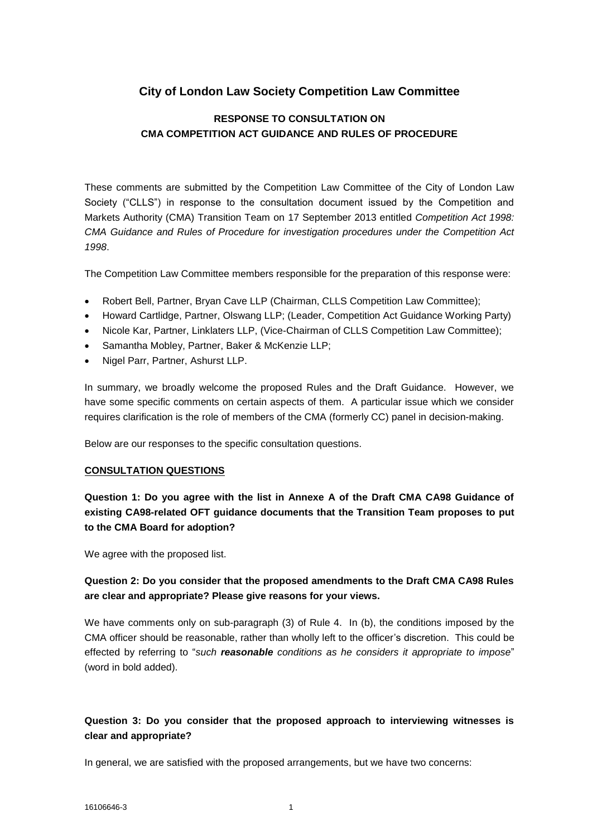# **City of London Law Society Competition Law Committee**

## **RESPONSE TO CONSULTATION ON CMA COMPETITION ACT GUIDANCE AND RULES OF PROCEDURE**

These comments are submitted by the Competition Law Committee of the City of London Law Society ("CLLS") in response to the consultation document issued by the Competition and Markets Authority (CMA) Transition Team on 17 September 2013 entitled *Competition Act 1998: CMA Guidance and Rules of Procedure for investigation procedures under the Competition Act 1998*.

The Competition Law Committee members responsible for the preparation of this response were:

- Robert Bell, Partner, Bryan Cave LLP (Chairman, CLLS Competition Law Committee);
- Howard Cartlidge, Partner, Olswang LLP; (Leader, Competition Act Guidance Working Party)
- Nicole Kar, Partner, Linklaters LLP, (Vice-Chairman of CLLS Competition Law Committee);
- Samantha Mobley, Partner, Baker & McKenzie LLP;
- Nigel Parr, Partner, Ashurst LLP.

In summary, we broadly welcome the proposed Rules and the Draft Guidance. However, we have some specific comments on certain aspects of them. A particular issue which we consider requires clarification is the role of members of the CMA (formerly CC) panel in decision-making.

Below are our responses to the specific consultation questions.

#### **CONSULTATION QUESTIONS**

**Question 1: Do you agree with the list in Annexe A of the Draft CMA CA98 Guidance of existing CA98-related OFT guidance documents that the Transition Team proposes to put to the CMA Board for adoption?**

We agree with the proposed list.

### **Question 2: Do you consider that the proposed amendments to the Draft CMA CA98 Rules are clear and appropriate? Please give reasons for your views.**

We have comments only on sub-paragraph (3) of Rule 4. In (b), the conditions imposed by the CMA officer should be reasonable, rather than wholly left to the officer's discretion. This could be effected by referring to "*such reasonable conditions as he considers it appropriate to impose*" (word in bold added).

### **Question 3: Do you consider that the proposed approach to interviewing witnesses is clear and appropriate?**

In general, we are satisfied with the proposed arrangements, but we have two concerns: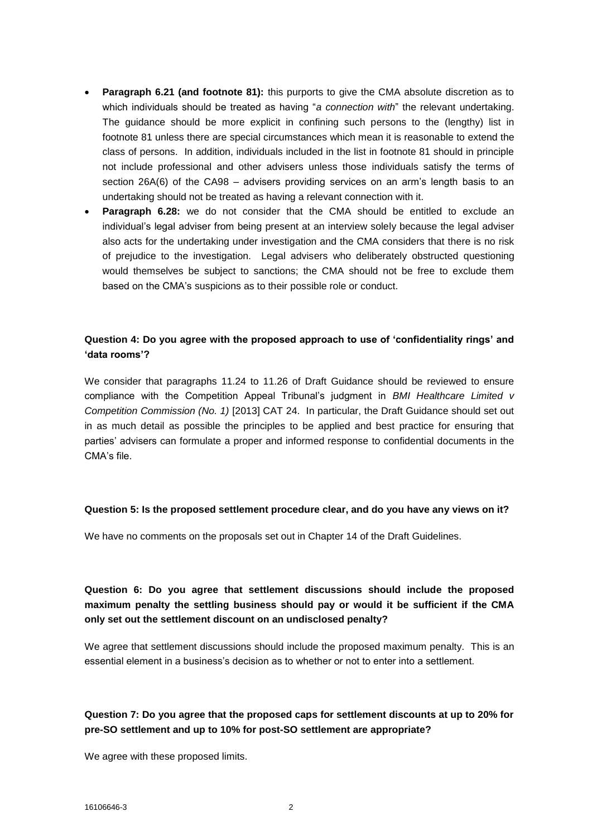- **Paragraph 6.21 (and footnote 81):** this purports to give the CMA absolute discretion as to which individuals should be treated as having "*a connection with*" the relevant undertaking. The guidance should be more explicit in confining such persons to the (lengthy) list in footnote 81 unless there are special circumstances which mean it is reasonable to extend the class of persons. In addition, individuals included in the list in footnote 81 should in principle not include professional and other advisers unless those individuals satisfy the terms of section 26A(6) of the CA98 – advisers providing services on an arm's length basis to an undertaking should not be treated as having a relevant connection with it.
- **Paragraph 6.28:** we do not consider that the CMA should be entitled to exclude an individual's legal adviser from being present at an interview solely because the legal adviser also acts for the undertaking under investigation and the CMA considers that there is no risk of prejudice to the investigation. Legal advisers who deliberately obstructed questioning would themselves be subject to sanctions; the CMA should not be free to exclude them based on the CMA's suspicions as to their possible role or conduct.

## **Question 4: Do you agree with the proposed approach to use of 'confidentiality rings' and 'data rooms'?**

We consider that paragraphs 11.24 to 11.26 of Draft Guidance should be reviewed to ensure compliance with the Competition Appeal Tribunal's judgment in *BMI Healthcare Limited v Competition Commission (No. 1)* [2013] CAT 24. In particular, the Draft Guidance should set out in as much detail as possible the principles to be applied and best practice for ensuring that parties' advisers can formulate a proper and informed response to confidential documents in the CMA's file.

#### **Question 5: Is the proposed settlement procedure clear, and do you have any views on it?**

We have no comments on the proposals set out in Chapter 14 of the Draft Guidelines.

## **Question 6: Do you agree that settlement discussions should include the proposed maximum penalty the settling business should pay or would it be sufficient if the CMA only set out the settlement discount on an undisclosed penalty?**

We agree that settlement discussions should include the proposed maximum penalty. This is an essential element in a business's decision as to whether or not to enter into a settlement.

### **Question 7: Do you agree that the proposed caps for settlement discounts at up to 20% for pre-SO settlement and up to 10% for post-SO settlement are appropriate?**

We agree with these proposed limits.